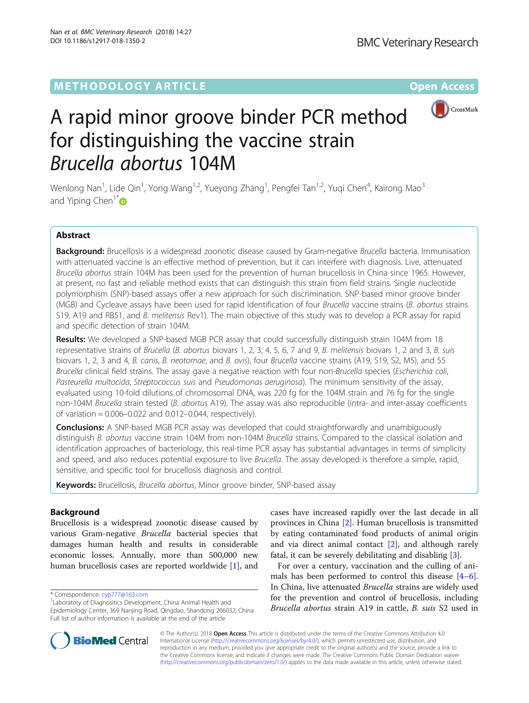# **METHODOLOGY ARTICLE CONSUMING A RESERVE AND LOGISTIC AND LOGISTIC ACCESS**



# A rapid minor groove binder PCR method for distinguishing the vaccine strain Brucella abortus 104M

Wenlong Nan<sup>1</sup>, Lide Qin<sup>1</sup>, Yong Wang<sup>1,2</sup>, Yueyong Zhang<sup>1</sup>, Pengfei Tan<sup>1,2</sup>, Yuqi Chen<sup>4</sup>, Kairong Mao<sup>3</sup> and Yiping Chen<sup>1[\\*](http://orcid.org/0000-0003-0212-0279)</sup>

# Abstract

Background: Brucellosis is a widespread zoonotic disease caused by Gram-negative Brucella bacteria. Immunisation with attenuated vaccine is an effective method of prevention, but it can interfere with diagnosis. Live, attenuated Brucella abortus strain 104M has been used for the prevention of human brucellosis in China since 1965. However, at present, no fast and reliable method exists that can distinguish this strain from field strains. Single nucleotide polymorphism (SNP)-based assays offer a new approach for such discrimination. SNP-based minor groove binder (MGB) and Cycleave assays have been used for rapid identification of four Brucella vaccine strains (B. abortus strains S19, A19 and RB51, and B. melitensis Rev1). The main objective of this study was to develop a PCR assay for rapid and specific detection of strain 104M.

Results: We developed a SNP-based MGB PCR assay that could successfully distinguish strain 104M from 18 representative strains of Brucella (B. abortus biovars 1, 2, 3, 4, 5, 6, 7 and 9, B. melitensis biovars 1, 2 and 3, B. suis biovars 1, 2, 3 and 4, B. canis, B. neotomae, and B. ovis), four Brucella vaccine strains (A19, S19, S2, M5), and 55 Brucella clinical field strains. The assay gave a negative reaction with four non-Brucella species (Escherichia coli, Pasteurella multocida, Streptococcus suis and Pseudomonas aeruginosa). The minimum sensitivity of the assay, evaluated using 10-fold dilutions of chromosomal DNA, was 220 fg for the 104M strain and 76 fg for the single non-104M Brucella strain tested (B. abortus A19). The assay was also reproducible (intra- and inter-assay coefficients of variation = 0.006–0.022 and 0.012–0.044, respectively).

**Conclusions:** A SNP-based MGB PCR assay was developed that could straightforwardly and unambiguously distinguish B. abortus vaccine strain 104M from non-104M Brucella strains. Compared to the classical isolation and identification approaches of bacteriology, this real-time PCR assay has substantial advantages in terms of simplicity and speed, and also reduces potential exposure to live Brucella. The assay developed is therefore a simple, rapid, sensitive, and specific tool for brucellosis diagnosis and control.

Keywords: Brucellosis, Brucella abortus, Minor groove binder, SNP-based assay

# Background

Brucellosis is a widespread zoonotic disease caused by various Gram-negative Brucella bacterial species that damages human health and results in considerable economic losses. Annually, more than 500,000 new human brucellosis cases are reported worldwide [\[1\]](#page-6-0), and

cases have increased rapidly over the last decade in all provinces in China [\[2](#page-6-0)]. Human brucellosis is transmitted by eating contaminated food products of animal origin and via direct animal contact [[2\]](#page-6-0), and although rarely fatal, it can be severely debilitating and disabling [[3\]](#page-6-0).

For over a century, vaccination and the culling of animals has been performed to control this disease [\[4](#page-6-0)–[6](#page-6-0)]. In China, live attenuated Brucella strains are widely used for the prevention and control of brucellosis, including Brucella abortus strain A19 in cattle, B. suis S2 used in



© The Author(s). 2018 Open Access This article is distributed under the terms of the Creative Commons Attribution 4.0 International License [\(http://creativecommons.org/licenses/by/4.0/](http://creativecommons.org/licenses/by/4.0/)), which permits unrestricted use, distribution, and reproduction in any medium, provided you give appropriate credit to the original author(s) and the source, provide a link to the Creative Commons license, and indicate if changes were made. The Creative Commons Public Domain Dedication waiver [\(http://creativecommons.org/publicdomain/zero/1.0/](http://creativecommons.org/publicdomain/zero/1.0/)) applies to the data made available in this article, unless otherwise stated.

<sup>\*</sup> Correspondence: [cyp777@163.com](mailto:cyp777@163.com) <sup>1</sup>

<sup>&</sup>lt;sup>1</sup> Laboratory of Diagnositics Development, China Animal Health and Epidemiology Center, 369 Nanjing Road, Qingdao, Shandong 266032, China Full list of author information is available at the end of the article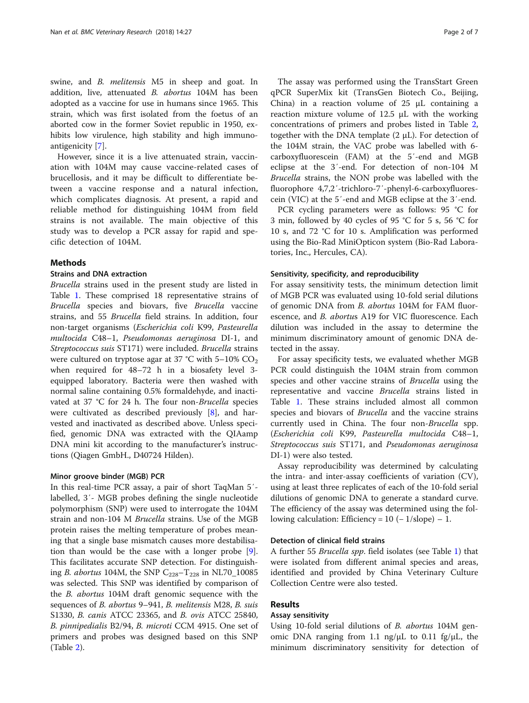swine, and *B. melitensis* M5 in sheep and goat. In addition, live, attenuated B. abortus 104M has been adopted as a vaccine for use in humans since 1965. This strain, which was first isolated from the foetus of an aborted cow in the former Soviet republic in 1950, exhibits low virulence, high stability and high immunoantigenicity [[7\]](#page-6-0).

However, since it is a live attenuated strain, vaccination with 104M may cause vaccine-related cases of brucellosis, and it may be difficult to differentiate between a vaccine response and a natural infection, which complicates diagnosis. At present, a rapid and reliable method for distinguishing 104M from field strains is not available. The main objective of this study was to develop a PCR assay for rapid and specific detection of 104M.

# Methods

# Strains and DNA extraction

Brucella strains used in the present study are listed in Table [1.](#page-2-0) These comprised 18 representative strains of Brucella species and biovars, five Brucella vaccine strains, and 55 Brucella field strains. In addition, four non-target organisms (Escherichia coli K99, Pasteurella multocida C48–1, Pseudomonas aeruginosa DI-1, and Streptococcus suis ST171) were included. Brucella strains were cultured on tryptose agar at 37 °C with 5–10%  $CO<sub>2</sub>$ when required for 48–72 h in a biosafety level 3 equipped laboratory. Bacteria were then washed with normal saline containing 0.5% formaldehyde, and inactivated at 37 °C for 24 h. The four non-Brucella species were cultivated as described previously [[8\]](#page-6-0), and harvested and inactivated as described above. Unless specified, genomic DNA was extracted with the QIAamp DNA mini kit according to the manufacturer's instructions (Qiagen GmbH., D40724 Hilden).

## Minor groove binder (MGB) PCR

In this real-time PCR assay, a pair of short TaqMan 5′ labelled, 3′- MGB probes defining the single nucleotide polymorphism (SNP) were used to interrogate the 104M strain and non-104 M Brucella strains. Use of the MGB protein raises the melting temperature of probes meaning that a single base mismatch causes more destabilisation than would be the case with a longer probe [\[9](#page-6-0)]. This facilitates accurate SNP detection. For distinguishing *B. abortus* 104M, the SNP  $C_{228} - T_{228}$  in NL70\_10085 was selected. This SNP was identified by comparison of the B. abortus 104M draft genomic sequence with the sequences of B. abortus 9–941, B. melitensis M28, B. suis S1330, B. canis ATCC 23365, and B. ovis ATCC 25840, B. pinnipedialis B2/94, B. microti CCM 4915. One set of primers and probes was designed based on this SNP (Table [2\)](#page-3-0).

The assay was performed using the TransStart Green qPCR SuperMix kit (TransGen Biotech Co., Beijing, China) in a reaction volume of  $25 \mu L$  containing a reaction mixture volume of 12.5 μL with the working concentrations of primers and probes listed in Table [2](#page-3-0), together with the DNA template  $(2 \mu L)$ . For detection of the 104M strain, the VAC probe was labelled with 6 carboxyfluorescein (FAM) at the 5′-end and MGB eclipse at the 3′-end. For detection of non-104 M Brucella strains, the NON probe was labelled with the fluorophore 4,7,2′-trichloro-7′-phenyl-6-carboxyfluorescein (VIC) at the 5′-end and MGB eclipse at the 3′-end.

PCR cycling parameters were as follows: 95 °C for 3 min, followed by 40 cycles of 95 °C for 5 s, 56 °C for 10 s, and 72 °C for 10 s. Amplification was performed using the Bio-Rad MiniOpticon system (Bio-Rad Laboratories, Inc., Hercules, CA).

# Sensitivity, specificity, and reproducibility

For assay sensitivity tests, the minimum detection limit of MGB PCR was evaluated using 10-fold serial dilutions of genomic DNA from *B. abortus* 104M for FAM fluorescence, and B. abortus A19 for VIC fluorescence. Each dilution was included in the assay to determine the minimum discriminatory amount of genomic DNA detected in the assay.

For assay specificity tests, we evaluated whether MGB PCR could distinguish the 104M strain from common species and other vaccine strains of Brucella using the representative and vaccine Brucella strains listed in Table [1](#page-2-0). These strains included almost all common species and biovars of Brucella and the vaccine strains currently used in China. The four non-Brucella spp. (Escherichia coli K99, Pasteurella multocida C48–1, Streptococcus suis ST171, and Pseudomonas aeruginosa DI-1) were also tested.

Assay reproducibility was determined by calculating the intra- and inter-assay coefficients of variation (CV), using at least three replicates of each of the 10-fold serial dilutions of genomic DNA to generate a standard curve. The efficiency of the assay was determined using the following calculation: Efficiency =  $10$  ( $-$  1/slope)  $-$  1.

# Detection of clinical field strains

A further 55 Brucella spp. field isolates (see Table [1](#page-2-0)) that were isolated from different animal species and areas, identified and provided by China Veterinary Culture Collection Centre were also tested.

# Results

# Assay sensitivity

Using 10-fold serial dilutions of *B. abortus* 104M genomic DNA ranging from 1.1 ng/μL to 0.11 fg/μL, the minimum discriminatory sensitivity for detection of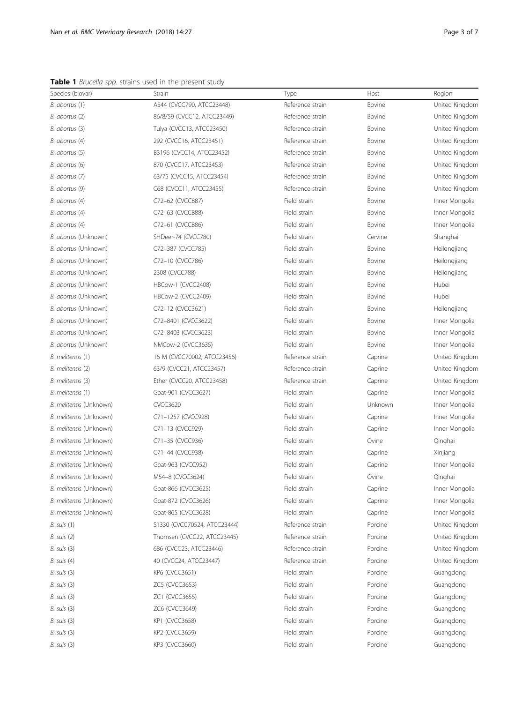<span id="page-2-0"></span>Table 1 Brucella spp. strains used in the present study

| Species (biovar)        | Strain                       | Type             | Host    | Region         |
|-------------------------|------------------------------|------------------|---------|----------------|
| B. abortus (1)          | A544 (CVCC790, ATCC23448)    | Reference strain | Bovine  | United Kingdom |
| B. abortus (2)          | 86/8/59 (CVCC12, ATCC23449)  | Reference strain | Bovine  | United Kingdom |
| B. abortus (3)          | Tulya (CVCC13, ATCC23450)    | Reference strain | Bovine  | United Kingdom |
| B. abortus (4)          | 292 (CVCC16, ATCC23451)      | Reference strain | Bovine  | United Kingdom |
| B. abortus (5)          | B3196 (CVCC14, ATCC23452)    | Reference strain | Bovine  | United Kingdom |
| B. abortus (6)          | 870 (CVCC17, ATCC23453)      | Reference strain | Bovine  | United Kingdom |
| B. abortus (7)          | 63/75 (CVCC15, ATCC23454)    | Reference strain | Bovine  | United Kingdom |
| B. abortus (9)          | C68 (CVCC11, ATCC23455)      | Reference strain | Bovine  | United Kingdom |
| B. abortus (4)          | C72-62 (CVCC887)             | Field strain     | Bovine  | Inner Mongolia |
| B. abortus (4)          | C72-63 (CVCC888)             | Field strain     | Bovine  | Inner Mongolia |
| B. abortus (4)          | C72-61 (CVCC886)             | Field strain     | Bovine  | Inner Mongolia |
| B. abortus (Unknown)    | SHDeer-74 (CVCC780)          | Field strain     | Cervine | Shanghai       |
| B. abortus (Unknown)    | C72-387 (CVCC785)            | Field strain     | Bovine  | Heilongjiang   |
| B. abortus (Unknown)    | C72-10 (CVCC786)             | Field strain     | Bovine  | Heilongjiang   |
| B. abortus (Unknown)    | 2308 (CVCC788)               | Field strain     | Bovine  | Heilongjiang   |
| B. abortus (Unknown)    | HBCow-1 (CVCC2408)           | Field strain     | Bovine  | Hubei          |
| B. abortus (Unknown)    | HBCow-2 (CVCC2409)           | Field strain     | Bovine  | Hubei          |
| B. abortus (Unknown)    | C72-12 (CVCC3621)            | Field strain     | Bovine  | Heilongjiang   |
| B. abortus (Unknown)    | C72-8401 (CVCC3622)          | Field strain     | Bovine  | Inner Mongolia |
| B. abortus (Unknown)    | C72-8403 (CVCC3623)          | Field strain     | Bovine  | Inner Mongolia |
| B. abortus (Unknown)    | NMCow-2 (CVCC3635)           | Field strain     | Bovine  | Inner Mongolia |
| B. melitensis (1)       | 16 M (CVCC70002, ATCC23456)  | Reference strain | Caprine | United Kingdom |
| B. melitensis (2)       | 63/9 (CVCC21, ATCC23457)     | Reference strain | Caprine | United Kingdom |
| B. melitensis (3)       | Ether (CVCC20, ATCC23458)    | Reference strain | Caprine | United Kingdom |
| B. melitensis (1)       | Goat-901 (CVCC3627)          | Field strain     | Caprine | Inner Mongolia |
| B. melitensis (Unknown) | <b>CVCC3620</b>              | Field strain     | Unknown | Inner Mongolia |
| B. melitensis (Unknown) | C71-1257 (CVCC928)           | Field strain     | Caprine | Inner Mongolia |
| B. melitensis (Unknown) | C71-13 (CVCC929)             | Field strain     | Caprine | Inner Mongolia |
| B. melitensis (Unknown) | C71-35 (CVCC936)             | Field strain     | Ovine   | Qinghai        |
| B. melitensis (Unknown) | C71-44 (CVCC938)             | Field strain     | Caprine | Xinjiang       |
| B. melitensis (Unknown) | Goat-963 (CVCC952)           | Field strain     | Caprine | Inner Mongolia |
| B. melitensis (Unknown) | M54-8 (CVCC3624)             | Field strain     | Ovine   | Qinghai        |
| B. melitensis (Unknown) | Goat-866 (CVCC3625)          | Field strain     | Caprine | Inner Mongolia |
| B. melitensis (Unknown) | Goat-872 (CVCC3626)          | Field strain     | Caprine | Inner Mongolia |
| B. melitensis (Unknown) | Goat-865 (CVCC3628)          | Field strain     | Caprine | Inner Mongolia |
| B. suis (1)             | S1330 (CVCC70524, ATCC23444) | Reference strain | Porcine | United Kingdom |
| B. suis (2)             | Thomsen (CVCC22, ATCC23445)  | Reference strain | Porcine | United Kingdom |
| B. suis (3)             | 686 (CVCC23, ATCC23446)      | Reference strain | Porcine | United Kingdom |
| B. suis (4)             | 40 (CVCC24, ATCC23447)       | Reference strain | Porcine | United Kingdom |
| B. suis (3)             | KP6 (CVCC3651)               | Field strain     | Porcine | Guangdong      |
| B. suis (3)             | ZC5 (CVCC3653)               | Field strain     | Porcine | Guangdong      |
| B. suis (3)             | ZC1 (CVCC3655)               | Field strain     | Porcine | Guangdong      |
| B. suis (3)             | ZC6 (CVCC3649)               | Field strain     | Porcine | Guangdong      |
| B. suis (3)             | KP1 (CVCC3658)               | Field strain     | Porcine | Guangdong      |
| B. suis (3)             | KP2 (CVCC3659)               | Field strain     | Porcine | Guangdong      |
| B. suis (3)             | KP3 (CVCC3660)               | Field strain     | Porcine | Guangdong      |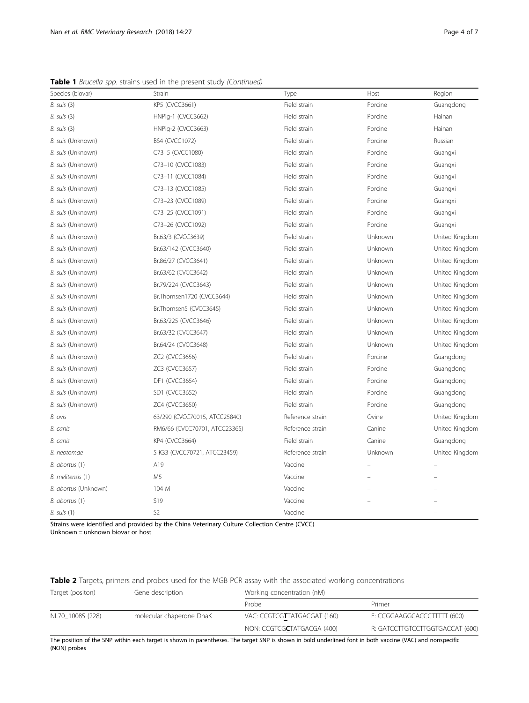<span id="page-3-0"></span>Table 1 Brucella spp. strains used in the present study (Continued)

| Species (biovar)     | Strain                        | Type             | Host    | Region         |
|----------------------|-------------------------------|------------------|---------|----------------|
| $B.$ suis $(3)$      | KP5 (CVCC3661)                | Field strain     | Porcine | Guangdong      |
| $B.$ suis $(3)$      | HNPig-1 (CVCC3662)            | Field strain     | Porcine | Hainan         |
| $B.$ suis $(3)$      | HNPig-2 (CVCC3663)            | Field strain     | Porcine | Hainan         |
| B. suis (Unknown)    | BS4 (CVCC1072)                | Field strain     | Porcine | Russian        |
| B. suis (Unknown)    | C73-5 (CVCC1080)              | Field strain     | Porcine | Guangxi        |
| B. suis (Unknown)    | C73-10 (CVCC1083)             | Field strain     | Porcine | Guangxi        |
| B. suis (Unknown)    | C73-11 (CVCC1084)             | Field strain     | Porcine | Guangxi        |
| B. suis (Unknown)    | C73-13 (CVCC1085)             | Field strain     | Porcine | Guangxi        |
| B. suis (Unknown)    | C73-23 (CVCC1089)             | Field strain     | Porcine | Guangxi        |
| B. suis (Unknown)    | C73-25 (CVCC1091)             | Field strain     | Porcine | Guangxi        |
| B. suis (Unknown)    | C73-26 (CVCC1092)             | Field strain     | Porcine | Guangxi        |
| B. suis (Unknown)    | Br.63/3 (CVCC3639)            | Field strain     | Unknown | United Kingdom |
| B. suis (Unknown)    | Br.63/142 (CVCC3640)          | Field strain     | Unknown | United Kingdom |
| B. suis (Unknown)    | Br.86/27 (CVCC3641)           | Field strain     | Unknown | United Kingdom |
| B. suis (Unknown)    | Br.63/62 (CVCC3642)           | Field strain     | Unknown | United Kingdom |
| B. suis (Unknown)    | Br.79/224 (CVCC3643)          | Field strain     | Unknown | United Kingdom |
| B. suis (Unknown)    | Br.Thomsen1720 (CVCC3644)     | Field strain     | Unknown | United Kingdom |
| B. suis (Unknown)    | Br.Thomsen5 (CVCC3645)        | Field strain     | Unknown | United Kingdom |
| B. suis (Unknown)    | Br.63/225 (CVCC3646)          | Field strain     | Unknown | United Kingdom |
| B. suis (Unknown)    | Br.63/32 (CVCC3647)           | Field strain     | Unknown | United Kingdom |
| B. suis (Unknown)    | Br.64/24 (CVCC3648)           | Field strain     | Unknown | United Kingdom |
| B. suis (Unknown)    | ZC2 (CVCC3656)                | Field strain     | Porcine | Guangdong      |
| B. suis (Unknown)    | ZC3 (CVCC3657)                | Field strain     | Porcine | Guangdong      |
| B. suis (Unknown)    | DF1 (CVCC3654)                | Field strain     | Porcine | Guangdong      |
| B. suis (Unknown)    | SD1 (CVCC3652)                | Field strain     | Porcine | Guangdong      |
| B. suis (Unknown)    | ZC4 (CVCC3650)                | Field strain     | Porcine | Guangdong      |
| B. ovis              | 63/290 (CVCC70015, ATCC25840) | Reference strain | Ovine   | United Kingdom |
| B. canis             | RM6/66 (CVCC70701, ATCC23365) | Reference strain | Canine  | United Kingdom |
| B. canis             | KP4 (CVCC3664)                | Field strain     | Canine  | Guangdong      |
| B. neotomae          | 5 K33 (CVCC70721, ATCC23459)  | Reference strain | Unknown | United Kingdom |
| B. abortus (1)       | A19                           | Vaccine          |         |                |
| B. melitensis (1)    | M <sub>5</sub>                | Vaccine          |         |                |
| B. abortus (Unknown) | 104 M                         | Vaccine          |         |                |
| B. abortus (1)       | S19                           | Vaccine          |         |                |
| B. suis (1)          | S <sub>2</sub>                | Vaccine          |         |                |

Strains were identified and provided by the China Veterinary Culture Collection Centre (CVCC) Unknown = unknown biovar or host

Table 2 Targets, primers and probes used for the MGB PCR assay with the associated working concentrations

| Target (positon) | Gene description         | Working concentration (nM)          |                                 |  |
|------------------|--------------------------|-------------------------------------|---------------------------------|--|
|                  |                          | Probe                               | Primer                          |  |
| NL70 10085 (228) | molecular chaperone DnaK | VAC: CCGTCGTTATGACGAT (160)         | F: CCGGAAGGCACCCTTTTT (600)     |  |
|                  |                          | NON: CCGTCG <b>C</b> TATGACGA (400) | R: GATCCTTGTCCTTGGTGACCAT (600) |  |

The position of the SNP within each target is shown in parentheses. The target SNP is shown in bold underlined font in both vaccine (VAC) and nonspecific (NON) probes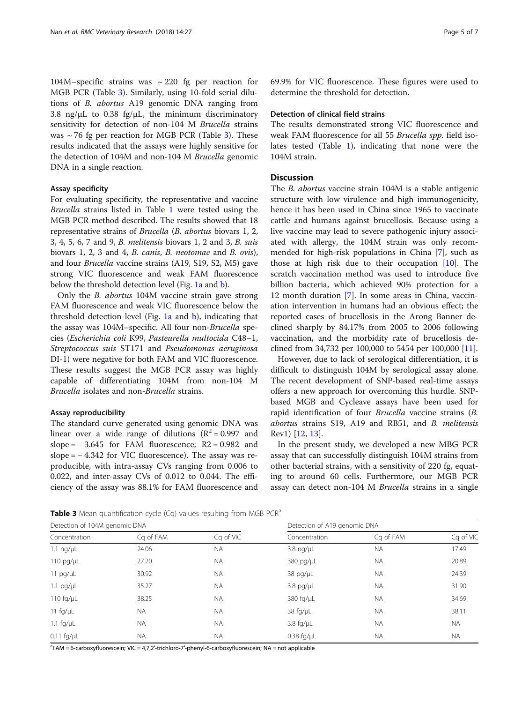104M–specific strains was  $\sim$  220 fg per reaction for MGB PCR (Table 3). Similarly, using 10-fold serial dilutions of B. abortus A19 genomic DNA ranging from 3.8 ng/ $\mu$ L to 0.38 fg/ $\mu$ L, the minimum discriminatory sensitivity for detection of non-104 M Brucella strains was  $\sim$  76 fg per reaction for MGB PCR (Table 3). These results indicated that the assays were highly sensitive for the detection of 104M and non-104 M Brucella genomic DNA in a single reaction.

## Assay specificity

For evaluating specificity, the representative and vaccine Brucella strains listed in Table [1](#page-2-0) were tested using the MGB PCR method described. The results showed that 18 representative strains of Brucella (B. abortus biovars 1, 2, 3, 4, 5, 6, 7 and 9, B. melitensis biovars 1, 2 and 3, B. suis biovars 1, 2, 3 and 4, B. canis, B. neotomae and B. ovis), and four Brucella vaccine strains (A19, S19, S2, M5) gave strong VIC fluorescence and weak FAM fluorescence below the threshold detection level (Fig. [1a](#page-5-0) and [b](#page-5-0)).

Only the B. abortus 104M vaccine strain gave strong FAM fluorescence and weak VIC fluorescence below the threshold detection level (Fig.  $1a$  and  $b$ ), indicating that the assay was 104M–specific. All four non-Brucella species (Escherichia coli K99, Pasteurella multocida C48–1, Streptococcus suis ST171 and Pseudomonas aeruginosa DI-1) were negative for both FAM and VIC fluorescence. These results suggest the MGB PCR assay was highly capable of differentiating 104M from non-104 M Brucella isolates and non-Brucella strains.

# Assay reproducibility

The standard curve generated using genomic DNA was linear over a wide range of dilutions ( $R^2 = 0.997$  and slope =  $-3.645$  for FAM fluorescence; R2 = 0.982 and slope = − 4.342 for VIC fluorescence). The assay was reproducible, with intra-assay CVs ranging from 0.006 to 0.022, and inter-assay CVs of 0.012 to 0.044. The efficiency of the assay was 88.1% for FAM fluorescence and 69.9% for VIC fluorescence. These figures were used to determine the threshold for detection.

# Detection of clinical field strains

The results demonstrated strong VIC fluorescence and weak FAM fluorescence for all 55 Brucella spp. field isolates tested (Table [1\)](#page-2-0), indicating that none were the 104M strain.

# **Discussion**

The B. abortus vaccine strain 104M is a stable antigenic structure with low virulence and high immunogenicity, hence it has been used in China since 1965 to vaccinate cattle and humans against brucellosis. Because using a live vaccine may lead to severe pathogenic injury associated with allergy, the 104M strain was only recommended for high-risk populations in China [\[7](#page-6-0)], such as those at high risk due to their occupation [[10\]](#page-6-0). The scratch vaccination method was used to introduce five billion bacteria, which achieved 90% protection for a 12 month duration [[7\]](#page-6-0). In some areas in China, vaccination intervention in humans had an obvious effect; the reported cases of brucellosis in the Arong Banner declined sharply by 84.17% from 2005 to 2006 following vaccination, and the morbidity rate of brucellosis declined from 34,732 per 100,000 to 5454 per 100,000 [\[11\]](#page-6-0).

However, due to lack of serological differentiation, it is difficult to distinguish 104M by serological assay alone. The recent development of SNP-based real-time assays offers a new approach for overcoming this hurdle. SNPbased MGB and Cycleave assays have been used for rapid identification of four Brucella vaccine strains (B. abortus strains S19, A19 and RB51, and B. melitensis Rev1) [[12,](#page-6-0) [13\]](#page-6-0).

In the present study, we developed a new MBG PCR assay that can successfully distinguish 104M strains from other bacterial strains, with a sensitivity of 220 fg, equating to around 60 cells. Furthermore, our MGB PCR assay can detect non-104 M Brucella strains in a single

**Table 3** Mean quantification cycle (Cq) values resulting from MGB PCR<sup>a</sup>

|                               |           | $\tilde{}$                   |                        |           |           |
|-------------------------------|-----------|------------------------------|------------------------|-----------|-----------|
| Detection of 104M genomic DNA |           | Detection of A19 genomic DNA |                        |           |           |
| Concentration                 | Cq of FAM | Ca of VIC                    | Concentration          | Ca of FAM | Ca of VIC |
| $1.1$ ng/ $\mu$ L             | 24.06     | <b>NA</b>                    | 3.8 $\frac{ng}{\mu}$   | ΝA        | 17.49     |
| 110 pg/ $\mu$ L               | 27.20     | <b>NA</b>                    | 380 pg/µL              | <b>NA</b> | 20.89     |
| 11 pg/µL                      | 30.92     | <b>NA</b>                    | $38$ pg/ $\mu$ L       | <b>NA</b> | 24.39     |
| $1.1$ pg/ $\mu$ L             | 35.27     | <b>NA</b>                    | $3.8$ pg/ $\mu$ L      | <b>NA</b> | 31.90     |
| 110 $fq/µL$                   | 38.25     | <b>NA</b>                    | 380 fg/µL              | <b>NA</b> | 34.69     |
| 11 $fg/µL$                    | <b>NA</b> | <b>NA</b>                    | 38 $fq/µL$             | <b>NA</b> | 38.11     |
| 1.1 $\frac{f}{g}/\mu L$       | NA.       | <b>NA</b>                    | $3.8 \text{ fq/}\mu L$ | <b>NA</b> | <b>NA</b> |
| $0.11$ fg/ $\mu$ L            | NA.       | <b>NA</b>                    | $0.38$ fg/ $\mu$ L     | <b>NA</b> | <b>NA</b> |

<sup>a</sup>FAM = 6-carboxyfluorescein; VIC = 4,7,2'-trichloro-7'-phenyl-6-carboxyfluorescein; NA = not applicable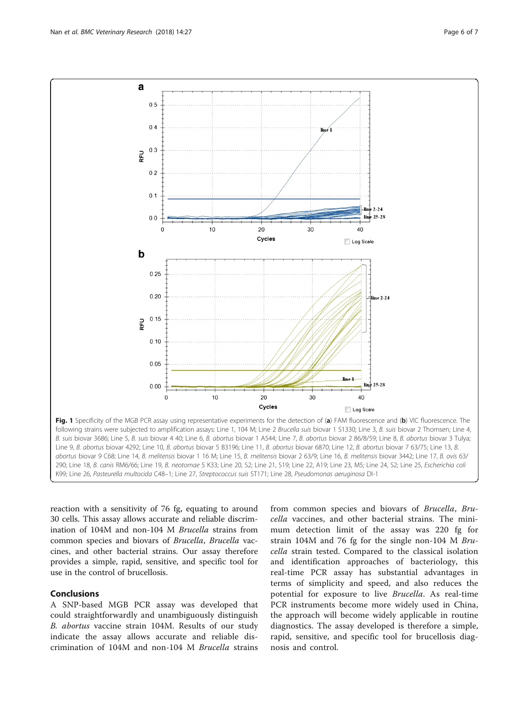<span id="page-5-0"></span>

reaction with a sensitivity of 76 fg, equating to around 30 cells. This assay allows accurate and reliable discrimination of 104M and non-104 M Brucella strains from common species and biovars of Brucella, Brucella vaccines, and other bacterial strains. Our assay therefore provides a simple, rapid, sensitive, and specific tool for use in the control of brucellosis.

# Conclusions

A SNP-based MGB PCR assay was developed that could straightforwardly and unambiguously distinguish B. abortus vaccine strain 104M. Results of our study indicate the assay allows accurate and reliable discrimination of 104M and non-104 M Brucella strains

from common species and biovars of Brucella, Brucella vaccines, and other bacterial strains. The minimum detection limit of the assay was 220 fg for strain 104M and 76 fg for the single non-104 M Brucella strain tested. Compared to the classical isolation and identification approaches of bacteriology, this real-time PCR assay has substantial advantages in terms of simplicity and speed, and also reduces the potential for exposure to live Brucella. As real-time PCR instruments become more widely used in China, the approach will become widely applicable in routine diagnostics. The assay developed is therefore a simple, rapid, sensitive, and specific tool for brucellosis diagnosis and control.